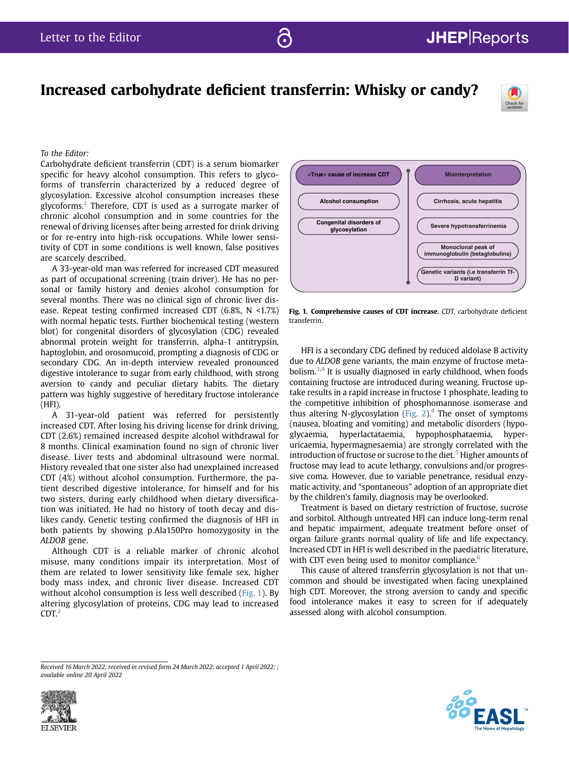# Increased carbohydrate deficient transferrin: Whisky or candy?



To the Editor:

Carbohydrate deficient transferrin (CDT) is a serum biomarker specific for heavy alcohol consumption. This refers to glycoforms of transferrin characterized by a reduced degree of glycosylation. Excessive alcohol consumption increases these glycoforms.<sup>[1](#page-1-0)</sup> Therefore, CDT is used as a surrogate marker of chronic alcohol consumption and in some countries for the renewal of driving licenses after being arrested for drink driving or for re-entry into high-risk occupations. While lower sensitivity of CDT in some conditions is well known, false positives are scarcely described.

A 33-year-old man was referred for increased CDT measured as part of occupational screening (train driver). He has no personal or family history and denies alcohol consumption for several months. There was no clinical sign of chronic liver disease. Repeat testing confirmed increased CDT (6.8%, N <1.7%) with normal hepatic tests. Further biochemical testing (western blot) for congenital disorders of glycosylation (CDG) revealed abnormal protein weight for transferrin, alpha-1 antitrypsin, haptoglobin, and orosomucoid, prompting a diagnosis of CDG or secondary CDG. An in-depth interview revealed pronounced digestive intolerance to sugar from early childhood, with strong aversion to candy and peculiar dietary habits. The dietary pattern was highly suggestive of hereditary fructose intolerance (HFI).

A 31-year-old patient was referred for persistently increased CDT. After losing his driving license for drink driving, CDT (2.6%) remained increased despite alcohol withdrawal for 8 months. Clinical examination found no sign of chronic liver disease. Liver tests and abdominal ultrasound were normal. History revealed that one sister also had unexplained increased CDT (4%) without alcohol consumption. Furthermore, the patient described digestive intolerance, for himself and for his two sisters, during early childhood when dietary diversification was initiated. He had no history of tooth decay and dislikes candy. Genetic testing confirmed the diagnosis of HFI in both patients by showing p.Ala150Pro homozygosity in the ALDOB gene.

Although CDT is a reliable marker of chronic alcohol misuse, many conditions impair its interpretation. Most of them are related to lower sensitivity like female sex, higher body mass index, and chronic liver disease. Increased CDT without alcohol consumption is less well described ([Fig. 1](#page-0-0)). By altering glycosylation of proteins, CDG may lead to increased  $CDT<sub>2</sub>$  $CDT<sub>2</sub>$  $CDT<sub>2</sub>$ 

<span id="page-0-0"></span>

Fig. 1. Comprehensive causes of CDT increase. CDT, carbohydrate deficient transferrin.

HFI is a secondary CDG defined by reduced aldolase B activity due to ALDOB gene variants, the main enzyme of fructose metabolism. $3,4$  $3,4$  It is usually diagnosed in early childhood, when foods containing fructose are introduced during weaning. Fructose uptake results in a rapid increase in fructose 1 phosphate, leading to the competitive inhibition of phosphomannose isomerase and thus altering N-glycosylation [\(Fig. 2](#page-1-4)).<sup>[4](#page-1-3)</sup> The onset of symptoms (nausea, bloating and vomiting) and metabolic disorders (hypoglycaemia, hyperlactataemia, hypophosphataemia, hyperuricaemia, hypermagnesaemia) are strongly correlated with the introduction of fructose or sucrose to the diet.<sup>[5](#page-1-5)</sup> Higher amounts of fructose may lead to acute lethargy, convulsions and/or progressive coma. However, due to variable penetrance, residual enzymatic activity, and "spontaneous" adoption of an appropriate diet by the children's family, diagnosis may be overlooked.

Treatment is based on dietary restriction of fructose, sucrose and sorbitol. Although untreated HFI can induce long-term renal and hepatic impairment, adequate treatment before onset of organ failure grants normal quality of life and life expectancy. Increased CDT in HFI is well described in the paediatric literature, with CDT even being used to monitor compliance.<sup>[6](#page-1-6)</sup>

This cause of altered transferrin glycosylation is not that uncommon and should be investigated when facing unexplained high CDT. Moreover, the strong aversion to candy and specific food intolerance makes it easy to screen for if adequately assessed along with alcohol consumption.

Received 16 March 2022; received in revised form 24 March 2022; accepted 1 April 2022; ; available online 20 April 2022